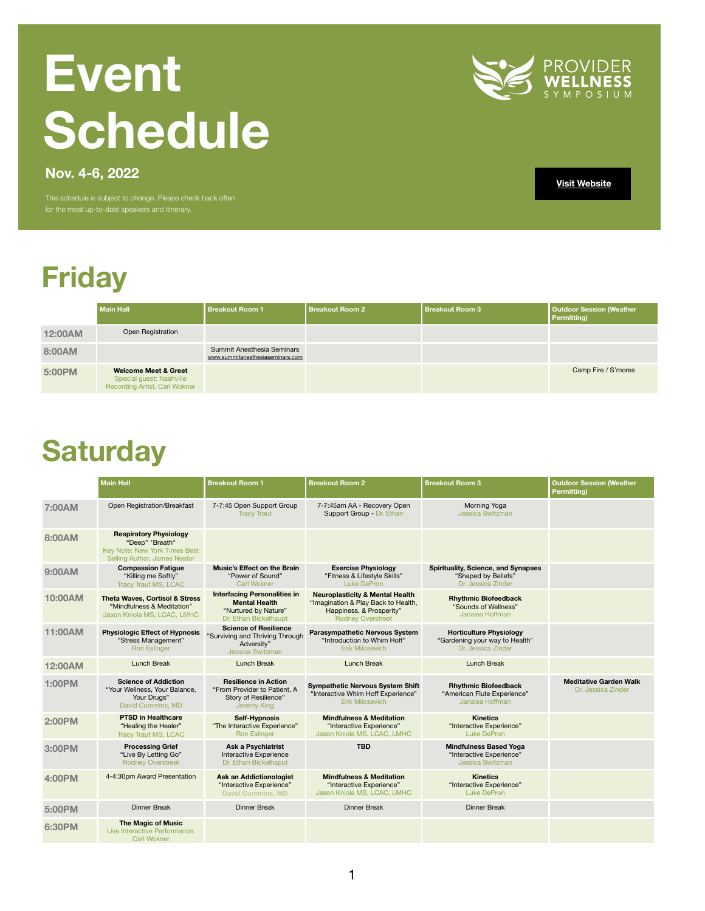# **Friday**

|                | <b>Main Hall</b>                                                                                    | <b>Breakout Room 1</b>                                                | <b>Breakout Room 2</b> | <b>Breakout Room 3</b> | <b>Outdoor Session (Weather</b><br><b>Permitting</b> ) |
|----------------|-----------------------------------------------------------------------------------------------------|-----------------------------------------------------------------------|------------------------|------------------------|--------------------------------------------------------|
| <b>12:00AM</b> | <b>Open Registration</b>                                                                            |                                                                       |                        |                        |                                                        |
| 8:00AM         |                                                                                                     | <b>Summit Anesthesia Seminars</b><br>www.summitanesthesiaseminars.com |                        |                        |                                                        |
| 5:00PM         | <b>Welcome Meet &amp; Greet</b><br><b>Special guest: Nashville</b><br>Recording Artist, Carl Wokner |                                                                       |                        |                        | Camp Fire / S'mores                                    |

# **Event Schedule**



This schedule is subject to change. Please check back often for the most up-to-date speakers and itinerary.

**[Visit Website](https://www.providersymposium.com/)**

### **Saturday**

|                | <b>Main Hall</b>                                                                                                                | <b>Breakout Room 1</b>                                                                                       | <b>Breakout Room 2</b>                                                                                                                    | <b>Breakout Room 3</b>                                                                  | <b>Outdoor Session (Weather</b><br><b>Permitting)</b> |
|----------------|---------------------------------------------------------------------------------------------------------------------------------|--------------------------------------------------------------------------------------------------------------|-------------------------------------------------------------------------------------------------------------------------------------------|-----------------------------------------------------------------------------------------|-------------------------------------------------------|
| 7:00AM         | Open Registration/Breakfast                                                                                                     | 7-7:45 Open Support Group<br><b>Tracy Traut</b>                                                              | 7-7:45am AA - Recovery Open<br>Support Group - Dr. Ethan                                                                                  | Morning Yoga<br><b>Jessica Switzman</b>                                                 |                                                       |
| 8:00AM         | <b>Respiratory Physiology</b><br>"Deep" "Breath"<br><b>Key Note: New York Times Best</b><br><b>Selling Author, James Nestor</b> |                                                                                                              |                                                                                                                                           |                                                                                         |                                                       |
| 9:00AM         | <b>Compassion Fatigue</b><br>"Killing me Softly"<br><b>Tracy Traut MS, LCAC</b>                                                 | <b>Music's Effect on the Brain</b><br>"Power of Sound"<br><b>Carl Wokner</b>                                 | <b>Exercise Physiology</b><br>"Fitness & Lifestyle Skills"<br><b>Luke DePron</b>                                                          | <b>Spirituality, Science, and Synapses</b><br>"Shaped by Beliefs"<br>Dr. Jessica Zinder |                                                       |
| 10:00AM        | <b>Theta Waves, Cortisol &amp; Stress</b><br>"Mindfulness & Meditation"<br>Jason Kniola MS, LCAC, LMHC                          | <b>Interfacing Personalities in</b><br><b>Mental Health</b><br>"Nurtured by Nature"<br>Dr. Ethan Bickelhaupt | <b>Neuroplasticity &amp; Mental Health</b><br>"Imagination & Play Back to Health,<br>Happiness, & Prosperity"<br><b>Rodney Overstreet</b> | <b>Rhythmic Biofeedback</b><br>"Sounds of Wellness"<br>Janalea Hoffman                  |                                                       |
| 11:00AM        | <b>Physiologic Effect of Hypnosis</b><br>"Stress Management"<br><b>Ron Eslinger</b>                                             | <b>Science of Resilience</b><br>"Surviving and Thriving Through<br>Adversity"<br><b>Jessica Switzman</b>     | <b>Parasympathetic Nervous System</b><br>"Introduction to Whim Hoff"<br><b>Erik Milosevich</b>                                            | <b>Horticulture Physiology</b><br>"Gardening your way to Health"<br>Dr. Jessica Zinder  |                                                       |
| <b>12:00AM</b> | <b>Lunch Break</b>                                                                                                              | <b>Lunch Break</b>                                                                                           | <b>Lunch Break</b>                                                                                                                        | <b>Lunch Break</b>                                                                      |                                                       |
| <b>1:00PM</b>  | <b>Science of Addiction</b><br>"Your Wellness, Your Balance,<br>Your Drugs"<br>David Cummins, MD                                | <b>Resilience in Action</b><br>"From Provider to Patient, A<br><b>Story of Resilience"</b><br>Jeremy King    | <b>Sympathetic Nervous System Shift</b><br>"Interactive Whim Hoff Experience"<br><b>Erik Milosevich</b>                                   | <b>Rhythmic Biofeedback</b><br>"American Flute Experience"<br>Janalea Hoffman           | <b>Meditative Garden Walk</b><br>Dr. Jessica Zinder   |
| <b>2:00PM</b>  | <b>PTSD in Healthcare</b><br>"Healing the Healer"<br><b>Tracy Traut MS, LCAC</b>                                                | <b>Self-Hypnosis</b><br>"The Interactive Experience"<br><b>Ron Eslinger</b>                                  | <b>Mindfulness &amp; Meditation</b><br>"Interactive Experience"<br>Jason Kniola MS, LCAC, LMHC                                            | <b>Kinetics</b><br>"Interactive Experience"<br><b>Luke DePron</b>                       |                                                       |
| 3:00PM         | <b>Processing Grief</b><br>"Live By Letting Go"<br><b>Rodney Overstreet</b>                                                     | <b>Ask a Psychiatrist</b><br>Interactive Experience<br>Dr. Ethan Bickelhaput                                 | <b>TBD</b>                                                                                                                                | <b>Mindfulness Based Yoga</b><br>"Interactive Experience"<br><b>Jessica Switzman</b>    |                                                       |
| <b>4:00PM</b>  | 4-4:30pm Award Presentation                                                                                                     | <b>Ask an Addictionologist</b><br>"Interactive Experience"<br><b>David Cummins, MD</b>                       | <b>Mindfulness &amp; Meditation</b><br>"Interactive Experience"<br>Jason Kniola MS, LCAC, LMHC                                            | <b>Kinetics</b><br>"Interactive Experience"<br><b>Luke DePron</b>                       |                                                       |
| 5:00PM         | <b>Dinner Break</b>                                                                                                             | <b>Dinner Break</b>                                                                                          | <b>Dinner Break</b>                                                                                                                       | <b>Dinner Break</b>                                                                     |                                                       |
| <b>6:30PM</b>  | <b>The Magic of Music</b><br>Live Interactive Performance:<br><b>Carl Wokner</b>                                                |                                                                                                              |                                                                                                                                           |                                                                                         |                                                       |

**Nov. 4-6, 2022**

1